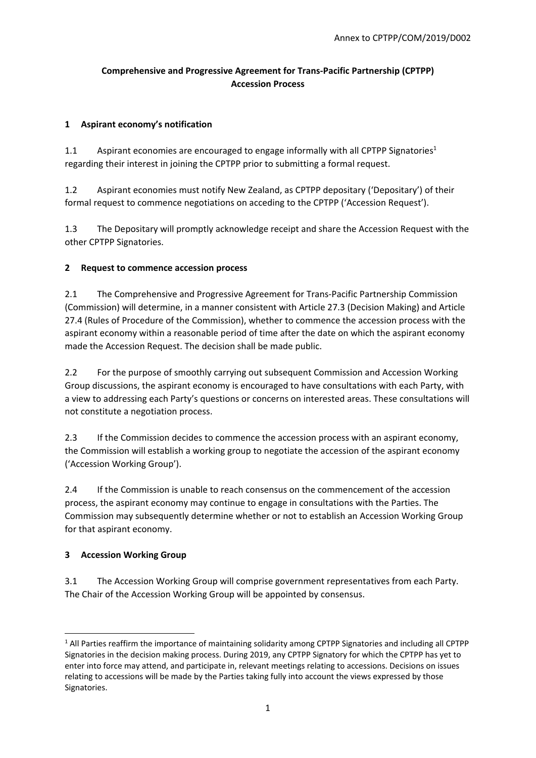# **Comprehensive and Progressive Agreement for Trans‐Pacific Partnership (CPTPP) Accession Process**

### **1 Aspirant economy's notification**

1.1 Aspirant economies are encouraged to engage informally with all CPTPP Signatories<sup>1</sup> regarding their interest in joining the CPTPP prior to submitting a formal request.

1.2 Aspirant economies must notify New Zealand, as CPTPP depositary ('Depositary') of their formal request to commence negotiations on acceding to the CPTPP ('Accession Request').

1.3 The Depositary will promptly acknowledge receipt and share the Accession Request with the other CPTPP Signatories.

### **2 Request to commence accession process**

2.1 The Comprehensive and Progressive Agreement for Trans-Pacific Partnership Commission (Commission) will determine, in a manner consistent with Article 27.3 (Decision Making) and Article 27.4 (Rules of Procedure of the Commission), whether to commence the accession process with the aspirant economy within a reasonable period of time after the date on which the aspirant economy made the Accession Request. The decision shall be made public.

2.2 For the purpose of smoothly carrying out subsequent Commission and Accession Working Group discussions, the aspirant economy is encouraged to have consultations with each Party, with a view to addressing each Party's questions or concerns on interested areas. These consultations will not constitute a negotiation process.

2.3 If the Commission decides to commence the accession process with an aspirant economy, the Commission will establish a working group to negotiate the accession of the aspirant economy ('Accession Working Group').

2.4 If the Commission is unable to reach consensus on the commencement of the accession process, the aspirant economy may continue to engage in consultations with the Parties. The Commission may subsequently determine whether or not to establish an Accession Working Group for that aspirant economy.

# **3 Accession Working Group**

3.1 The Accession Working Group will comprise government representatives from each Party. The Chair of the Accession Working Group will be appointed by consensus.

 <sup>1</sup> All Parties reaffirm the importance of maintaining solidarity among CPTPP Signatories and including all CPTPP Signatories in the decision making process. During 2019, any CPTPP Signatory for which the CPTPP has yet to enter into force may attend, and participate in, relevant meetings relating to accessions. Decisions on issues relating to accessions will be made by the Parties taking fully into account the views expressed by those Signatories.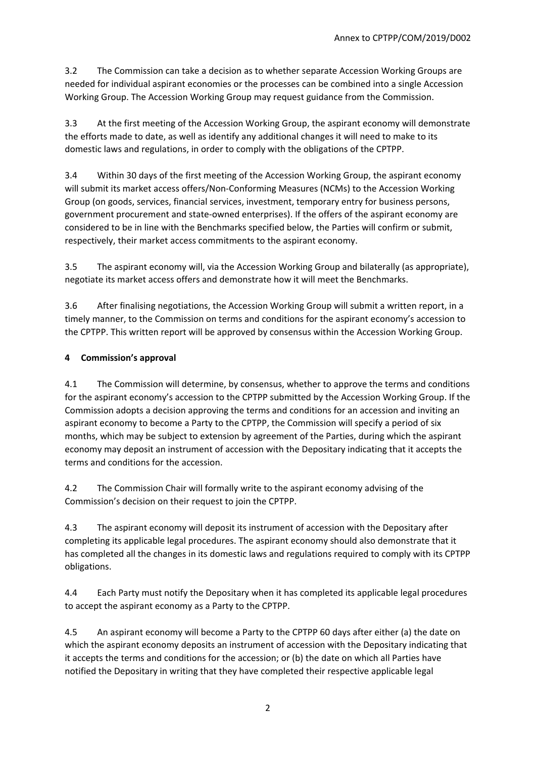3.2 The Commission can take a decision as to whether separate Accession Working Groups are needed for individual aspirant economies or the processes can be combined into a single Accession Working Group. The Accession Working Group may request guidance from the Commission.

3.3 At the first meeting of the Accession Working Group, the aspirant economy will demonstrate the efforts made to date, as well as identify any additional changes it will need to make to its domestic laws and regulations, in order to comply with the obligations of the CPTPP.

3.4 Within 30 days of the first meeting of the Accession Working Group, the aspirant economy will submit its market access offers/Non-Conforming Measures (NCMs) to the Accession Working Group (on goods, services, financial services, investment, temporary entry for business persons, government procurement and state‐owned enterprises). If the offers of the aspirant economy are considered to be in line with the Benchmarks specified below, the Parties will confirm or submit, respectively, their market access commitments to the aspirant economy.

3.5 The aspirant economy will, via the Accession Working Group and bilaterally (as appropriate), negotiate its market access offers and demonstrate how it will meet the Benchmarks.

3.6 After finalising negotiations, the Accession Working Group will submit a written report, in a timely manner, to the Commission on terms and conditions for the aspirant economy's accession to the CPTPP. This written report will be approved by consensus within the Accession Working Group.

# **4 Commission's approval**

4.1 The Commission will determine, by consensus, whether to approve the terms and conditions for the aspirant economy's accession to the CPTPP submitted by the Accession Working Group. If the Commission adopts a decision approving the terms and conditions for an accession and inviting an aspirant economy to become a Party to the CPTPP, the Commission will specify a period of six months, which may be subject to extension by agreement of the Parties, during which the aspirant economy may deposit an instrument of accession with the Depositary indicating that it accepts the terms and conditions for the accession.

4.2 The Commission Chair will formally write to the aspirant economy advising of the Commission's decision on their request to join the CPTPP.

4.3 The aspirant economy will deposit its instrument of accession with the Depositary after completing its applicable legal procedures. The aspirant economy should also demonstrate that it has completed all the changes in its domestic laws and regulations required to comply with its CPTPP obligations.

4.4 Each Party must notify the Depositary when it has completed its applicable legal procedures to accept the aspirant economy as a Party to the CPTPP.

4.5 An aspirant economy will become a Party to the CPTPP 60 days after either (a) the date on which the aspirant economy deposits an instrument of accession with the Depositary indicating that it accepts the terms and conditions for the accession; or (b) the date on which all Parties have notified the Depositary in writing that they have completed their respective applicable legal